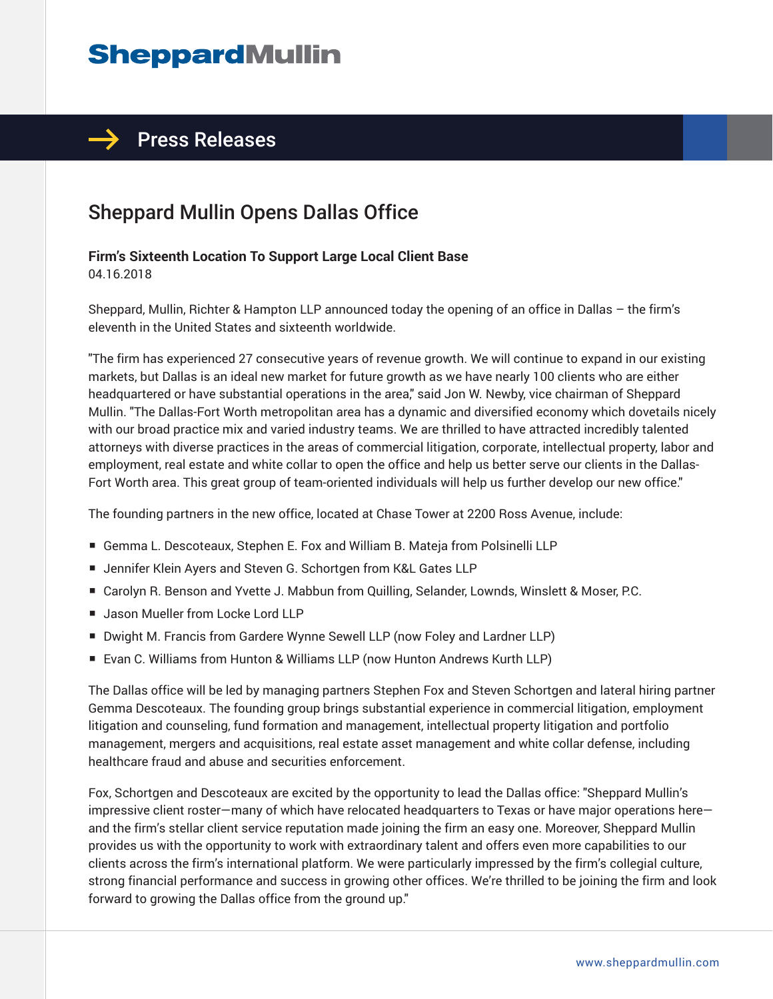# **SheppardMullin**

### $\rightarrow$  Press Releases

## Sheppard Mullin Opens Dallas Office

#### **Firm's Sixteenth Location To Support Large Local Client Base**

04.16.2018

Sheppard, Mullin, Richter & Hampton LLP announced today the opening of an office in Dallas – the firm's eleventh in the United States and sixteenth worldwide.

"The firm has experienced 27 consecutive years of revenue growth. We will continue to expand in our existing markets, but Dallas is an ideal new market for future growth as we have nearly 100 clients who are either headquartered or have substantial operations in the area," said Jon W. Newby, vice chairman of Sheppard Mullin. "The Dallas-Fort Worth metropolitan area has a dynamic and diversified economy which dovetails nicely with our broad practice mix and varied industry teams. We are thrilled to have attracted incredibly talented attorneys with diverse practices in the areas of commercial litigation, corporate, intellectual property, labor and employment, real estate and white collar to open the office and help us better serve our clients in the Dallas-Fort Worth area. This great group of team-oriented individuals will help us further develop our new office."

The founding partners in the new office, located at Chase Tower at 2200 Ross Avenue, include:

- Gemma L. Descoteaux, Stephen E. Fox and William B. Mateja from Polsinelli LLP
- Jennifer Klein Ayers and Steven G. Schortgen from K&L Gates LLP
- Carolyn R. Benson and Yvette J. Mabbun from Quilling, Selander, Lownds, Winslett & Moser, P.C.
- Jason Mueller from Locke Lord LLP
- Dwight M. Francis from Gardere Wynne Sewell LLP (now Foley and Lardner LLP)
- Evan C. Williams from Hunton & Williams LLP (now Hunton Andrews Kurth LLP)

The Dallas office will be led by managing partners Stephen Fox and Steven Schortgen and lateral hiring partner Gemma Descoteaux. The founding group brings substantial experience in commercial litigation, employment litigation and counseling, fund formation and management, intellectual property litigation and portfolio management, mergers and acquisitions, real estate asset management and white collar defense, including healthcare fraud and abuse and securities enforcement.

Fox, Schortgen and Descoteaux are excited by the opportunity to lead the Dallas office: "Sheppard Mullin's impressive client roster—many of which have relocated headquarters to Texas or have major operations here and the firm's stellar client service reputation made joining the firm an easy one. Moreover, Sheppard Mullin provides us with the opportunity to work with extraordinary talent and offers even more capabilities to our clients across the firm's international platform. We were particularly impressed by the firm's collegial culture, strong financial performance and success in growing other offices. We're thrilled to be joining the firm and look forward to growing the Dallas office from the ground up."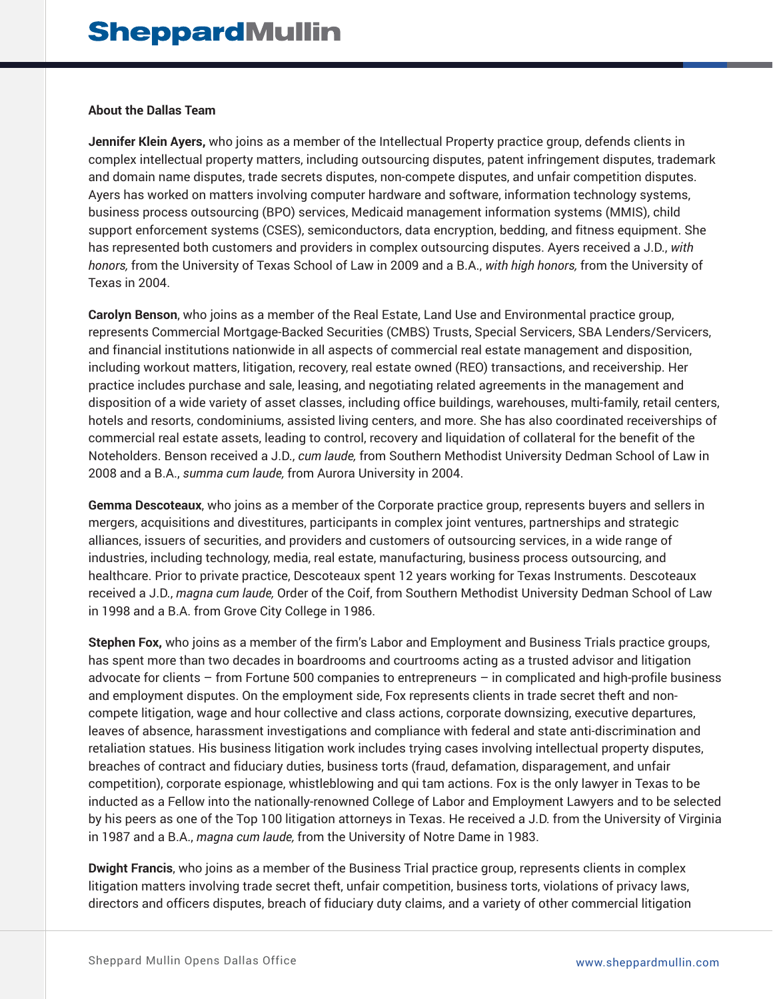#### **About the Dallas Team**

**Jennifer Klein Ayers,** who joins as a member of the Intellectual Property practice group, defends clients in complex intellectual property matters, including outsourcing disputes, patent infringement disputes, trademark and domain name disputes, trade secrets disputes, non-compete disputes, and unfair competition disputes. Ayers has worked on matters involving computer hardware and software, information technology systems, business process outsourcing (BPO) services, Medicaid management information systems (MMIS), child support enforcement systems (CSES), semiconductors, data encryption, bedding, and fitness equipment. She has represented both customers and providers in complex outsourcing disputes. Ayers received a J.D., *with honors,* from the University of Texas School of Law in 2009 and a B.A., *with high honors,* from the University of Texas in 2004.

**Carolyn Benson**, who joins as a member of the Real Estate, Land Use and Environmental practice group, represents Commercial Mortgage-Backed Securities (CMBS) Trusts, Special Servicers, SBA Lenders/Servicers, and financial institutions nationwide in all aspects of commercial real estate management and disposition, including workout matters, litigation, recovery, real estate owned (REO) transactions, and receivership. Her practice includes purchase and sale, leasing, and negotiating related agreements in the management and disposition of a wide variety of asset classes, including office buildings, warehouses, multi-family, retail centers, hotels and resorts, condominiums, assisted living centers, and more. She has also coordinated receiverships of commercial real estate assets, leading to control, recovery and liquidation of collateral for the benefit of the Noteholders. Benson received a J.D., *cum laude,* from Southern Methodist University Dedman School of Law in 2008 and a B.A., *summa cum laude,* from Aurora University in 2004.

**Gemma Descoteaux**, who joins as a member of the Corporate practice group, represents buyers and sellers in mergers, acquisitions and divestitures, participants in complex joint ventures, partnerships and strategic alliances, issuers of securities, and providers and customers of outsourcing services, in a wide range of industries, including technology, media, real estate, manufacturing, business process outsourcing, and healthcare. Prior to private practice, Descoteaux spent 12 years working for Texas Instruments. Descoteaux received a J.D., *magna cum laude,* Order of the Coif, from Southern Methodist University Dedman School of Law in 1998 and a B.A. from Grove City College in 1986.

**Stephen Fox,** who joins as a member of the firm's Labor and Employment and Business Trials practice groups, has spent more than two decades in boardrooms and courtrooms acting as a trusted advisor and litigation advocate for clients – from Fortune 500 companies to entrepreneurs – in complicated and high-profile business and employment disputes. On the employment side, Fox represents clients in trade secret theft and noncompete litigation, wage and hour collective and class actions, corporate downsizing, executive departures, leaves of absence, harassment investigations and compliance with federal and state anti-discrimination and retaliation statues. His business litigation work includes trying cases involving intellectual property disputes, breaches of contract and fiduciary duties, business torts (fraud, defamation, disparagement, and unfair competition), corporate espionage, whistleblowing and qui tam actions. Fox is the only lawyer in Texas to be inducted as a Fellow into the nationally-renowned College of Labor and Employment Lawyers and to be selected by his peers as one of the Top 100 litigation attorneys in Texas. He received a J.D. from the University of Virginia in 1987 and a B.A., *magna cum laude,* from the University of Notre Dame in 1983.

**Dwight Francis**, who joins as a member of the Business Trial practice group, represents clients in complex litigation matters involving trade secret theft, unfair competition, business torts, violations of privacy laws, directors and officers disputes, breach of fiduciary duty claims, and a variety of other commercial litigation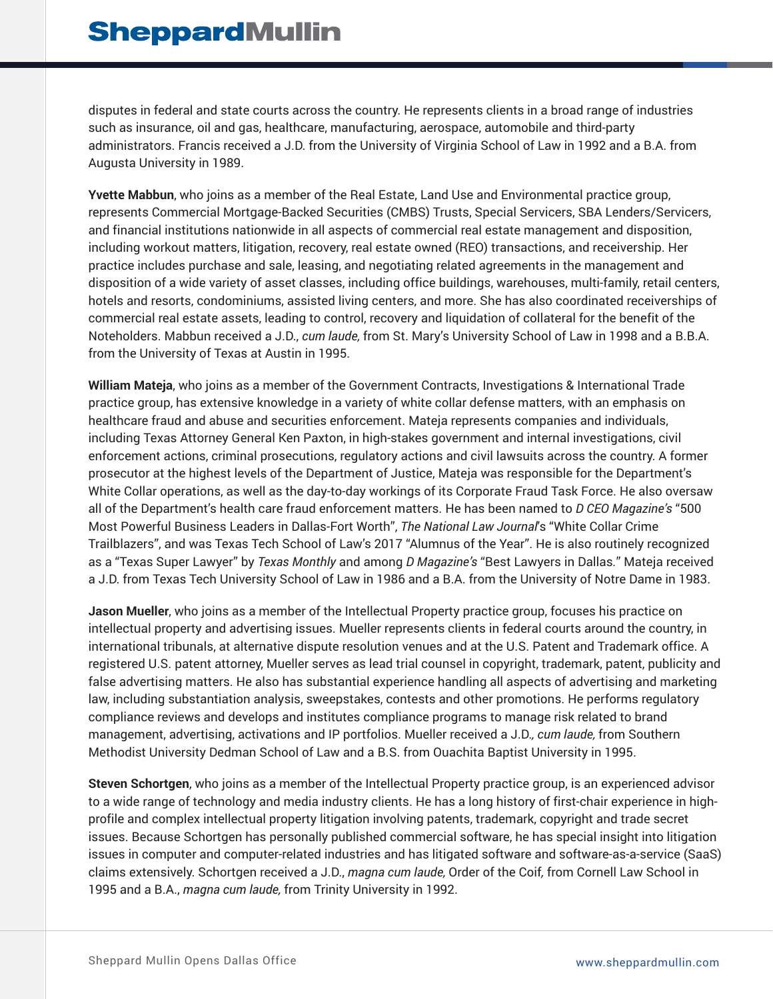disputes in federal and state courts across the country. He represents clients in a broad range of industries such as insurance, oil and gas, healthcare, manufacturing, aerospace, automobile and third-party administrators. Francis received a J.D. from the University of Virginia School of Law in 1992 and a B.A. from Augusta University in 1989.

**Yvette Mabbun**, who joins as a member of the Real Estate, Land Use and Environmental practice group, represents Commercial Mortgage-Backed Securities (CMBS) Trusts, Special Servicers, SBA Lenders/Servicers, and financial institutions nationwide in all aspects of commercial real estate management and disposition, including workout matters, litigation, recovery, real estate owned (REO) transactions, and receivership. Her practice includes purchase and sale, leasing, and negotiating related agreements in the management and disposition of a wide variety of asset classes, including office buildings, warehouses, multi-family, retail centers, hotels and resorts, condominiums, assisted living centers, and more. She has also coordinated receiverships of commercial real estate assets, leading to control, recovery and liquidation of collateral for the benefit of the Noteholders. Mabbun received a J.D., *cum laude,* from St. Mary's University School of Law in 1998 and a B.B.A. from the University of Texas at Austin in 1995.

**William Mateja**, who joins as a member of the Government Contracts, Investigations & International Trade practice group, has extensive knowledge in a variety of white collar defense matters, with an emphasis on healthcare fraud and abuse and securities enforcement. Mateja represents companies and individuals, including Texas Attorney General Ken Paxton, in high-stakes government and internal investigations, civil enforcement actions, criminal prosecutions, regulatory actions and civil lawsuits across the country. A former prosecutor at the highest levels of the Department of Justice, Mateja was responsible for the Department's White Collar operations, as well as the day-to-day workings of its Corporate Fraud Task Force. He also oversaw all of the Department's health care fraud enforcement matters. He has been named to *D CEO Magazine's* "500 Most Powerful Business Leaders in Dallas-Fort Worth", *The National Law Journal*'s "White Collar Crime Trailblazers", and was Texas Tech School of Law's 2017 "Alumnus of the Year". He is also routinely recognized as a "Texas Super Lawyer" by *Texas Monthly* and among *D Magazine's* "Best Lawyers in Dallas*.*" Mateja received a J.D. from Texas Tech University School of Law in 1986 and a B.A. from the University of Notre Dame in 1983.

**Jason Mueller**, who joins as a member of the Intellectual Property practice group, focuses his practice on intellectual property and advertising issues. Mueller represents clients in federal courts around the country, in international tribunals, at alternative dispute resolution venues and at the U.S. Patent and Trademark office. A registered U.S. patent attorney, Mueller serves as lead trial counsel in copyright, trademark, patent, publicity and false advertising matters. He also has substantial experience handling all aspects of advertising and marketing law, including substantiation analysis, sweepstakes, contests and other promotions. He performs regulatory compliance reviews and develops and institutes compliance programs to manage risk related to brand management, advertising, activations and IP portfolios. Mueller received a J.D.*, cum laude,* from Southern Methodist University Dedman School of Law and a B.S. from Ouachita Baptist University in 1995.

**Steven Schortgen**, who joins as a member of the Intellectual Property practice group, is an experienced advisor to a wide range of technology and media industry clients. He has a long history of first-chair experience in highprofile and complex intellectual property litigation involving patents, trademark, copyright and trade secret issues. Because Schortgen has personally published commercial software, he has special insight into litigation issues in computer and computer-related industries and has litigated software and software-as-a-service (SaaS) claims extensively. Schortgen received a J.D., *magna cum laude,* Order of the Coif*,* from Cornell Law School in 1995 and a B.A., *magna cum laude,* from Trinity University in 1992.